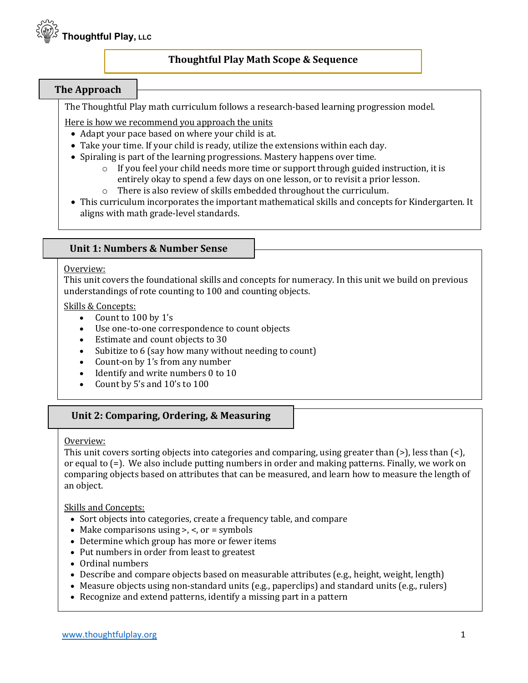

# **Thoughtful Play Math Scope & Sequence**

### **The Approach**

The Thoughtful Play math curriculum follows a research-based learning progression model.

Here is how we recommend you approach the units

- Adapt your pace based on where your child is at.
- Take your time. If your child is ready, utilize the extensions within each day.
- Spiraling is part of the learning progressions. Mastery happens over time.
	- $\circ$  If you feel your child needs more time or support through guided instruction, it is entirely okay to spend a few days on one lesson, or to revisit a prior lesson.
	- $\circ$  There is also review of skills embedded throughout the curriculum.
- This curriculum incorporates the important mathematical skills and concepts for Kindergarten. It aligns with math grade-level standards.

# **Unit 1: Numbers & Number Sense**

### Overview:

This unit covers the foundational skills and concepts for numeracy. In this unit we build on previous understandings of rote counting to 100 and counting objects.

Skills & Concepts:

- Count to 100 by 1's
- Use one-to-one correspondence to count objects
- Estimate and count objects to 30
- Subitize to 6 (say how many without needing to count)
- Count-on by 1's from any number
- Identify and write numbers 0 to 10
- Count by 5's and 10's to 100

# **Unit 2: Comparing, Ordering, & Measuring**

## Overview:

This unit covers sorting objects into categories and comparing, using greater than  $(>)$ , less than  $(>)$ , or equal to  $(=)$ . We also include putting numbers in order and making patterns. Finally, we work on comparing objects based on attributes that can be measured, and learn how to measure the length of an object.

**Skills and Concepts:** 

- Sort objects into categories, create a frequency table, and compare
- Make comparisons using  $>$ ,  $\lt$ , or = symbols
- Determine which group has more or fewer items
- Put numbers in order from least to greatest
- Ordinal numbers
- Describe and compare objects based on measurable attributes (e.g., height, weight, length)
- Measure objects using non-standard units (e.g., paperclips) and standard units (e.g., rulers)
- Recognize and extend patterns, identify a missing part in a pattern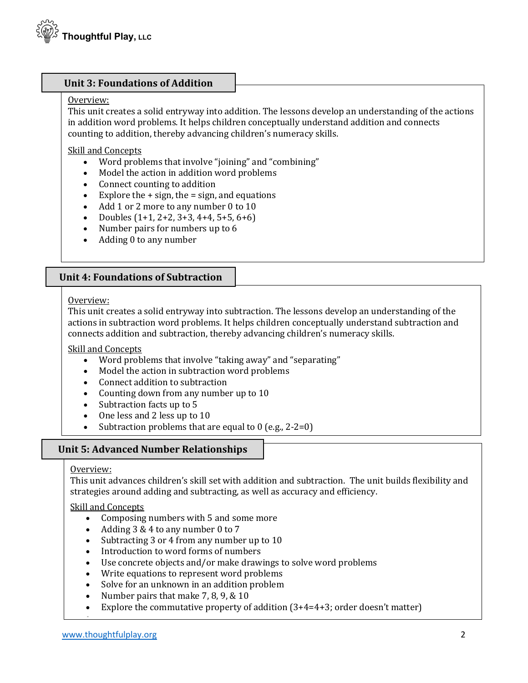

# **Unit 3: Foundations of Addition**

### Overview:

This unit creates a solid entryway into addition. The lessons develop an understanding of the actions in addition word problems. It helps children conceptually understand addition and connects counting to addition, thereby advancing children's numeracy skills.

### **Skill and Concepts**

- Word problems that involve "joining" and "combining"
- Model the action in addition word problems
- Connect counting to addition
- Explore the  $+$  sign, the  $=$  sign, and equations
- Add 1 or 2 more to any number 0 to 10
- Doubles  $(1+1, 2+2, 3+3, 4+4, 5+5, 6+6)$
- Number pairs for numbers up to 6
- Adding 0 to any number

# **Unit 4: Foundations of Subtraction**

### Overview:

This unit creates a solid entryway into subtraction. The lessons develop an understanding of the actions in subtraction word problems. It helps children conceptually understand subtraction and connects addition and subtraction, thereby advancing children's numeracy skills.

Skill and Concepts

- Word problems that involve "taking away" and "separating"
- Model the action in subtraction word problems
- Connect addition to subtraction
- Counting down from any number up to 10
- Subtraction facts up to 5
- One less and 2 less up to 10
- Subtraction problems that are equal to  $0$  (e.g., 2-2=0)

# **Unit 5: Advanced Number Relationships**

### Overview:

This unit advances children's skill set with addition and subtraction. The unit builds flexibility and strategies around adding and subtracting, as well as accuracy and efficiency.

### Skill and Concepts

- Composing numbers with 5 and some more
- Adding 3 & 4 to any number 0 to 7
- Subtracting 3 or 4 from any number up to 10
- Introduction to word forms of numbers
- Use concrete objects and/or make drawings to solve word problems
- Write equations to represent word problems
- Solve for an unknown in an addition problem
- Number pairs that make  $7, 8, 9, \& 10$
- Explore the commutative property of addition  $(3+4=4+3)$ ; order doesn't matter)

•